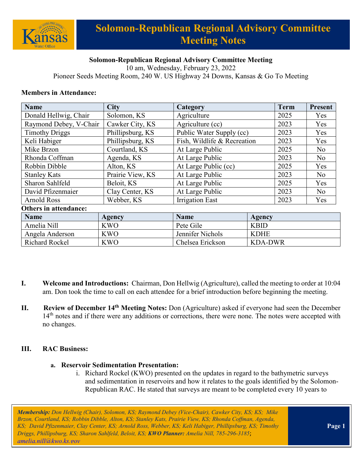

# **Solomon-Republican Regional Advisory Committee Meeting Notes**

# **Solomon-Republican Regional Advisory Committee Meeting**

10 am, Wednesday, February 23, 2022

Pioneer Seeds Meeting Room, 240 W. US Highway 24 Downs, Kansas & Go To Meeting

#### **Members in Attendance:**

| <b>Name</b>                  | <b>City</b>      | Category                    |                | <b>Term</b> | <b>Present</b> |
|------------------------------|------------------|-----------------------------|----------------|-------------|----------------|
| Donald Hellwig, Chair        | Solomon, KS      | Agriculture                 |                | 2025        | Yes            |
| Raymond Debey, V-Chair       | Cawker City, KS  | Agriculture (cc)            |                | 2023        | Yes            |
| <b>Timothy Driggs</b>        | Phillipsburg, KS | Public Water Supply (cc)    |                | 2023        | Yes            |
| Keli Habiger                 | Phillipsburg, KS | Fish, Wildlife & Recreation |                | 2023        | Yes            |
| Mike Brzon                   | Courtland, KS    | At Large Public             |                | 2025        | No             |
| Rhonda Coffman               | Agenda, KS       | At Large Public             |                | 2023        | No             |
| Robbin Dibble                | Alton, KS        | At Large Public (cc)        |                | 2025        | Yes            |
| <b>Stanley Kats</b>          | Prairie View, KS | At Large Public             |                | 2023        | N <sub>o</sub> |
| Sharon Sahlfeld              | Beloit, KS       | At Large Public             |                | 2025        | Yes            |
| David Pfizenmaier            | Clay Center, KS  | At Large Public             |                | 2023        | N <sub>o</sub> |
| <b>Arnold Ross</b>           | Webber, KS       | <b>Irrigation East</b>      |                | 2023        | Yes            |
| <b>Others in attendance:</b> |                  |                             |                |             |                |
| <b>Name</b>                  | Agency           | <b>Name</b>                 | <b>Agency</b>  |             |                |
| Amelia Nill                  | <b>KWO</b>       | Pete Gile                   | <b>KBID</b>    |             |                |
| Angela Anderson              | <b>KWO</b>       | Jennifer Nichols            | <b>KDHE</b>    |             |                |
| <b>Richard Rockel</b>        | <b>KWO</b>       | Chelsea Erickson            | <b>KDA-DWR</b> |             |                |

- **I. Welcome and Introductions:** Chairman, Don Hellwig (Agriculture), called the meeting to order at 10:04 am. Don took the time to call on each attendee for a brief introduction before beginning the meeting.
- **II. Review of December 14th Meeting Notes:** Don (Agriculture) asked if everyone had seen the December 14<sup>th</sup> notes and if there were any additions or corrections, there were none. The notes were accepted with no changes.

#### **III. RAC Business:**

#### **a. Reservoir Sedimentation Presentation:**

i. Richard Rockel (KWO) presented on the updates in regard to the bathymetric surveys and sedimentation in reservoirs and how it relates to the goals identified by the Solomon-Republican RAC. He stated that surveys are meant to be completed every 10 years to

*Membership: Don Hellwig (Chair), Solomon, KS; Raymond Debey (Vice-Chair), Cawker City, KS; KS; Mike Brzon, Courtland, KS; Robbin Dibble, Alton, KS; Stanley Kats, Prairie View, KS; Rhonda Coffman, Agenda, KS; David Pfizenmaier, Clay Center, KS; Arnold Ross, Webber, KS; Keli Habiger, Phillipsburg, KS; Timothy Driggs, Phillipsburg, KS; Sharon Sahlfeld, Beloit, KS; KWO Planner: Amelia Nill, 785-296-3185*; *[amelia.nill@kwo.ks.gov](mailto:amelia.nill@kwo.ks.gov)*